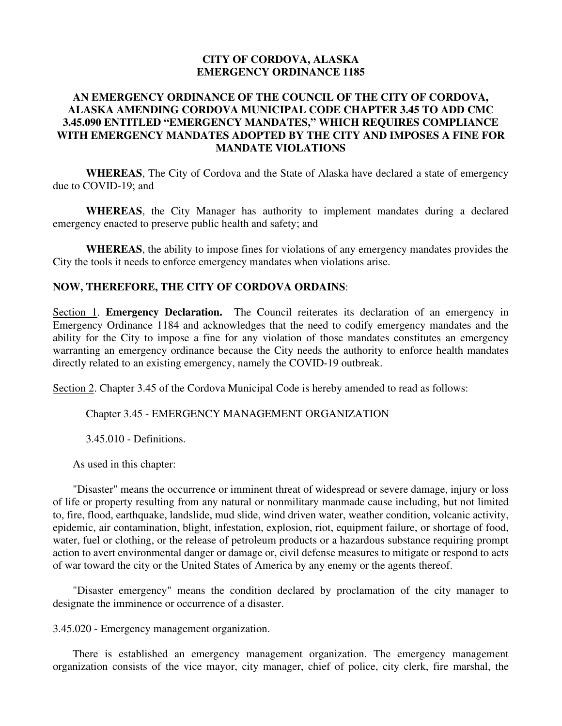#### **CITY OF CORDOVA, ALASKA EMERGENCY ORDINANCE 1185**

#### **AN EMERGENCY ORDINANCE OF THE COUNCIL OF THE CITY OF CORDOVA, ALASKA AMENDING CORDOVA MUNICIPAL CODE CHAPTER 3.45 TO ADD CMC 3.45.090 ENTITLED "EMERGENCY MANDATES," WHICH REQUIRES COMPLIANCE WITH EMERGENCY MANDATES ADOPTED BY THE CITY AND IMPOSES A FINE FOR MANDATE VIOLATIONS**

**WHEREAS**, The City of Cordova and the State of Alaska have declared a state of emergency due to COVID-19; and

**WHEREAS**, the City Manager has authority to implement mandates during a declared emergency enacted to preserve public health and safety; and

**WHEREAS**, the ability to impose fines for violations of any emergency mandates provides the City the tools it needs to enforce emergency mandates when violations arise.

#### **NOW, THEREFORE, THE CITY OF CORDOVA ORDAINS**:

Section 1. **Emergency Declaration.** The Council reiterates its declaration of an emergency in Emergency Ordinance 1184 and acknowledges that the need to codify emergency mandates and the ability for the City to impose a fine for any violation of those mandates constitutes an emergency warranting an emergency ordinance because the City needs the authority to enforce health mandates directly related to an existing emergency, namely the COVID-19 outbreak.

Section 2. Chapter 3.45 of the Cordova Municipal Code is hereby amended to read as follows:

Chapter 3.45 - EMERGENCY MANAGEMENT ORGANIZATION

3.45.010 - Definitions.

As used in this chapter:

"Disaster" means the occurrence or imminent threat of widespread or severe damage, injury or loss of life or property resulting from any natural or nonmilitary manmade cause including, but not limited to, fire, flood, earthquake, landslide, mud slide, wind driven water, weather condition, volcanic activity, epidemic, air contamination, blight, infestation, explosion, riot, equipment failure, or shortage of food, water, fuel or clothing, or the release of petroleum products or a hazardous substance requiring prompt action to avert environmental danger or damage or, civil defense measures to mitigate or respond to acts of war toward the city or the United States of America by any enemy or the agents thereof.

"Disaster emergency" means the condition declared by proclamation of the city manager to designate the imminence or occurrence of a disaster.

3.45.020 - Emergency management organization.

There is established an emergency management organization. The emergency management organization consists of the vice mayor, city manager, chief of police, city clerk, fire marshal, the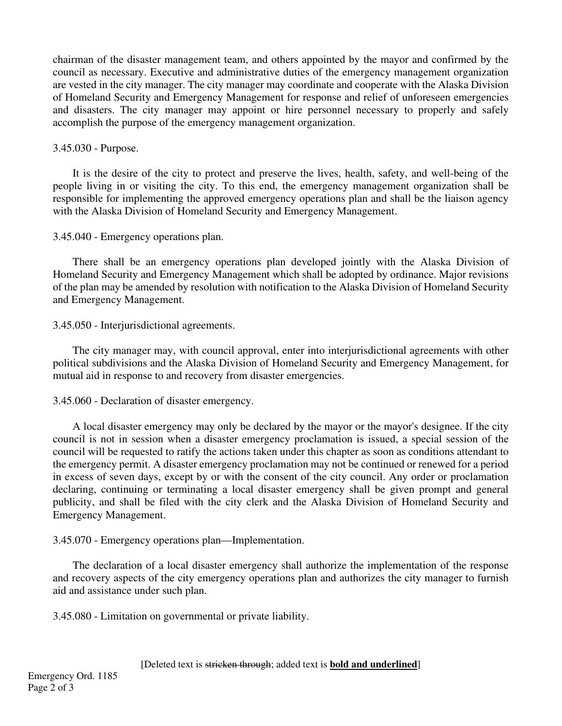chairman of the disaster management team, and others appointed by the mayor and confirmed by the council as necessary. Executive and administrative duties of the emergency management organization are vested in the city manager. The city manager may coordinate and cooperate with the Alaska Division of Homeland Security and Emergency Management for response and relief of unforeseen emergencies and disasters. The city manager may appoint or hire personnel necessary to properly and safely accomplish the purpose of the emergency management organization.

### 3.45.030 - Purpose.

It is the desire of the city to protect and preserve the lives, health, safety, and well-being of the people living in or visiting the city. To this end, the emergency management organization shall be responsible for implementing the approved emergency operations plan and shall be the liaison agency with the Alaska Division of Homeland Security and Emergency Management.

## 3.45.040 - Emergency operations plan.

There shall be an emergency operations plan developed jointly with the Alaska Division of Homeland Security and Emergency Management which shall be adopted by ordinance. Major revisions of the plan may be amended by resolution with notification to the Alaska Division of Homeland Security and Emergency Management.

## 3.45.050 - Interjurisdictional agreements.

The city manager may, with council approval, enter into interjurisdictional agreements with other political subdivisions and the Alaska Division of Homeland Security and Emergency Management, for mutual aid in response to and recovery from disaster emergencies.

# 3.45.060 - Declaration of disaster emergency.

A local disaster emergency may only be declared by the mayor or the mayor's designee. If the city council is not in session when a disaster emergency proclamation is issued, a special session of the council will be requested to ratify the actions taken under this chapter as soon as conditions attendant to the emergency permit. A disaster emergency proclamation may not be continued or renewed for a period in excess of seven days, except by or with the consent of the city council. Any order or proclamation declaring, continuing or terminating a local disaster emergency shall be given prompt and general publicity, and shall be filed with the city clerk and the Alaska Division of Homeland Security and Emergency Management.

# 3.45.070 - Emergency operations plan—Implementation.

The declaration of a local disaster emergency shall authorize the implementation of the response and recovery aspects of the city emergency operations plan and authorizes the city manager to furnish aid and assistance under such plan.

3.45.080 - Limitation on governmental or private liability.